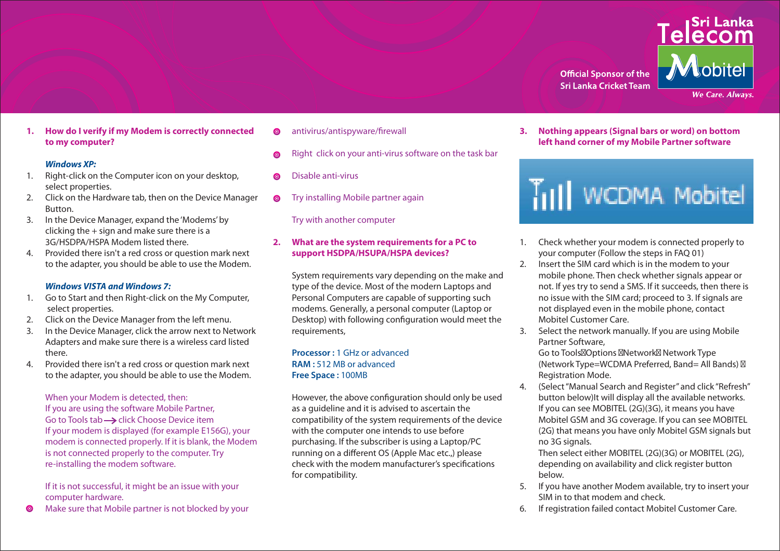

**1. How do I verify if my Modem is correctly connected to my computer?**

#### *Windows XP:*

- 1. Right-click on the Computer icon on your desktop, select properties.
- 2. Click on the Hardware tab, then on the Device Manager Button.
- 3. In the Device Manager, expand the 'Modems' by clicking the + sign and make sure there is a 3G/HSDPA/HSPA Modem listed there.
- 4. Provided there isn't a red cross or question mark next to the adapter, you should be able to use the Modem.

#### *Windows VISTA and Windows 7:*

- 1. Go to Start and then Right-click on the My Computer, select properties.
- 2. Click on the Device Manager from the left menu.
- 3. In the Device Manager, click the arrow next to Network Adapters and make sure there is a wireless card listed there.
- 4. Provided there isn't a red cross or question mark next to the adapter, you should be able to use the Modem.

When your Modem is detected, then: If you are using the software Mobile Partner, Go to Tools tab  $\rightarrow$  click Choose Device item If your modem is displayed (for example E156G), your modem is connected properly. If it is blank, the Modem is not connected properly to the computer. Try re-installing the modem software.

 If it is not successful, it might be an issue with your computer hardware.

**O** Make sure that Mobile partner is not blocked by your

- $\odot$  antivirus/antispyware/firewall
- **e** Right click on your anti-virus software on the task bar
- Disable anti-virus
- **O** Try installing Mobile partner again

Try with another computer

### **2. What are the system requirements for a PC to support HSDPA/HSUPA/HSPA devices?**

 System requirements vary depending on the make and type of the device. Most of the modern Laptops and Personal Computers are capable of supporting such modems. Generally, a personal computer (Laptop or Desktop) with following configuration would meet the requirements,

#### **Processor :** 1 GHz or advanced  **RAM :** 512 MB or advanced  **Free Space :** 100MB

However, the above configuration should only be used as a guideline and it is advised to ascertain the compatibility of the system requirements of the device with the computer one intends to use before purchasing. If the subscriber is using a Laptop/PC running on a different OS (Apple Mac etc.,) please check with the modem manufacturer's specifications for compatibility.

**3. Nothing appears (Signal bars or word) on bottom left hand corner of my Mobile Partner software**

# Till WCDMA Mobitel

- 1. Check whether your modem is connected properly to your computer (Follow the steps in FAQ 01)
- 2. Insert the SIM card which is in the modem to your mobile phone. Then check whether signals appear or not. If yes try to send a SMS. If it succeeds, then there is no issue with the SIM card; proceed to 3. If signals are not displayed even in the mobile phone, contact Mobitel Customer Care.
- 3. Select the network manually. If you are using Mobile Partner Software,

Go to Tools<sup>2</sup>Options <sup>2</sup>Network Network Type (Network Type=WCDMA Preferred, Band= All Bands) Registration Mode.

4. (Select "Manual Search and Register" and click "Refresh" button below)It will display all the available networks. If you can see MOBITEL (2G)(3G), it means you have Mobitel GSM and 3G coverage. If you can see MOBITEL (2G) that means you have only Mobitel GSM signals but no 3G signals.

 Then select either MOBITEL (2G)(3G) or MOBITEL (2G), depending on availability and click register button below.

- 5. If you have another Modem available, try to insert your SIM in to that modem and check.
- 6. If registration failed contact Mobitel Customer Care.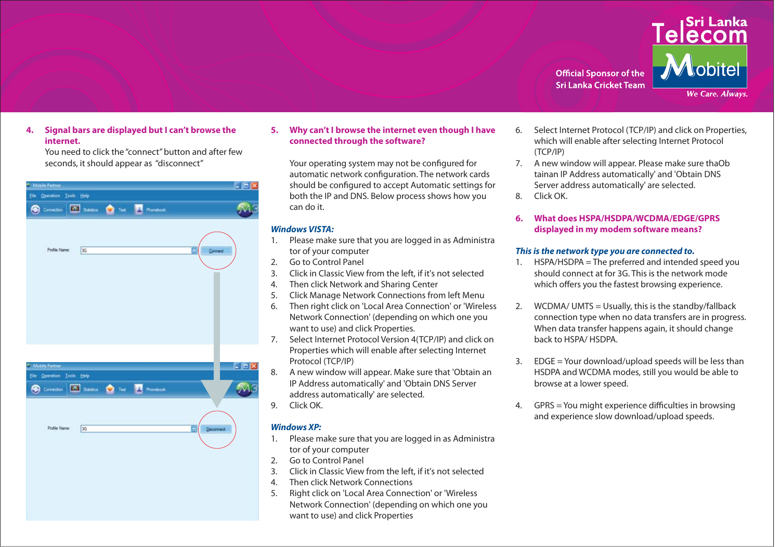

**We Care. Always.** 

#### **4. Signal bars are displayed but I can't browse the internet.**

 You need to click the "connect" button and after few seconds, it should appear as "disconnect"

| Mobile Partner                                                      | <b>L</b> OX      |
|---------------------------------------------------------------------|------------------|
| Elle Operation Tools Help                                           |                  |
| <b>Bill Sandos</b> Test <b>24</b> Phonebook<br><b>O</b> Correction  |                  |
|                                                                     |                  |
|                                                                     |                  |
| Profile Name:<br> 3G                                                | ٥<br>Connect     |
|                                                                     |                  |
|                                                                     |                  |
|                                                                     |                  |
|                                                                     |                  |
|                                                                     |                  |
|                                                                     |                  |
|                                                                     |                  |
|                                                                     |                  |
| Mobile Partner                                                      | $ \Box$ $\times$ |
| Elle Operation Tools Help                                           |                  |
| <b>EM Satatics O</b> Test <b>R</b> Provebook<br><b>B</b> Connection |                  |
|                                                                     |                  |
|                                                                     |                  |
| Profile Name:<br>3G                                                 | ۵<br>Deconnect   |
|                                                                     |                  |
|                                                                     |                  |
|                                                                     |                  |
|                                                                     |                  |
|                                                                     |                  |
|                                                                     |                  |
|                                                                     |                  |

# **5. Why can't I browse the internet even though I have connected through the software?**

 Your operating system may not be configured for automatic network configuration. The network cards should be configured to accept Automatic settings for both the IP and DNS. Below process shows how you can do it.

### *Windows VISTA:*

- 1. Please make sure that you are logged in as Administra tor of your computer
- 2. Go to Control Panel
- 3. Click in Classic View from the left, if it's not selected
- 4. Then click Network and Sharing Center
- 5. Click Manage Network Connections from left Menu
- 6. Then right click on 'Local Area Connection' or 'Wireless Network Connection' (depending on which one you want to use) and click Properties.
- 7. Select Internet Protocol Version 4(TCP/IP) and click on Properties which will enable after selecting Internet Protocol (TCP/IP)
- 8. A new window will appear. Make sure that 'Obtain an IP Address automatically' and 'Obtain DNS Server address automatically' are selected.
- 9. Click OK.

# *Windows XP:*

- 1. Please make sure that you are logged in as Administra tor of your computer
- 2. Go to Control Panel
- 3. Click in Classic View from the left, if it's not selected
- 4. Then click Network Connections
- 5. Right click on 'Local Area Connection' or 'Wireless Network Connection' (depending on which one you want to use) and click Properties
- 6. Select Internet Protocol (TCP/IP) and click on Properties, which will enable after selecting Internet Protocol (TCP/IP)
- 7. A new window will appear. Please make sure thaOb tainan IP Address automatically' and 'Obtain DNS Server address automatically' are selected. 8. Click OK.
- **6. What does HSPA/HSDPA/WCDMA/EDGE/GPRS displayed in my modem software means?**

# *This is the network type you are connected to.*

- 1. HSPA/HSDPA = The preferred and intended speed you should connect at for 3G. This is the network mode which offers you the fastest browsing experience.
- 2. WCDMA/ UMTS = Usually, this is the standby/fallback connection type when no data transfers are in progress. When data transfer happens again, it should change back to HSPA/ HSDPA.
- 3. EDGE = Your download/upload speeds will be less than HSDPA and WCDMA modes, still you would be able to browse at a lower speed.
- 4. GPRS = You might experience difficulties in browsing and experience slow download/upload speeds.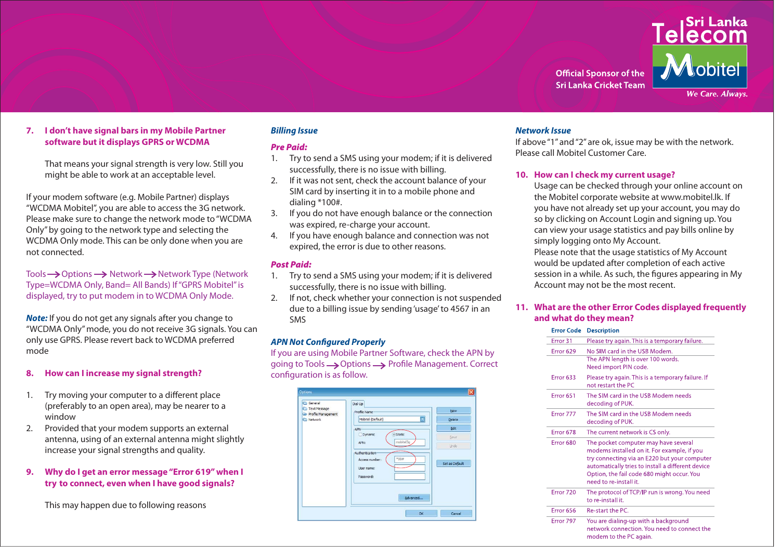

#### **7. I don't have signal bars in my Mobile Partner software but it displays GPRS or WCDMA**

 That means your signal strength is very low. Still you might be able to work at an acceptable level.

If your modem software (e.g. Mobile Partner) displays "WCDMA Mobitel", you are able to access the 3G network. Please make sure to change the network mode to "WCDMA Only" by going to the network type and selecting the WCDMA Only mode. This can be only done when you are not connected.

Tools  $\rightarrow$  Options  $\rightarrow$  Network  $\rightarrow$  Network Type (Network Type=WCDMA Only, Band= All Bands) If "GPRS Mobitel" is displayed, try to put modem in to WCDMA Only Mode.

**Note:** If you do not get any signals after you change to "WCDMA Only" mode, you do not receive 3G signals. You can only use GPRS. Please revert back to WCDMA preferred mode

# **8. How can I increase my signal strength?**

- 1. Try moving your computer to a different place (preferably to an open area), may be nearer to a window
- 2. Provided that your modem supports an external antenna, using of an external antenna might slightly increase your signal strengths and quality.
- **9. Why do I get an error message "Error 619" when I try to connect, even when I have good signals?**

This may happen due to following reasons

# *Billing Issue*

#### *Pre Paid:*

- 1. Try to send a SMS using your modem; if it is delivered successfully, there is no issue with billing.
- 2. If it was not sent, check the account balance of your SIM card by inserting it in to a mobile phone and dialing \*100#.
- 3. If you do not have enough balance or the connection was expired, re-charge your account.
- 4. If you have enough balance and connection was not expired, the error is due to other reasons.

#### *Post Paid:*

- 1. Try to send a SMS using your modem; if it is delivered successfully, there is no issue with billing.
- 2. If not, check whether your connection is not suspended due to a billing issue by sending 'usage' to 4567 in an SMS

#### *APN Not Configured Properly*

If you are using Mobile Partner Software, check the APN by going to Tools  $\longrightarrow$  Options  $\longrightarrow$  Profile Management. Correct configuration is as follow.



#### *Network Issue*

If above "1" and "2" are ok, issue may be with the network. Please call Mobitel Customer Care.

#### **10. How can I check my current usage?**

Usage can be checked through your online account on the Mobitel corporate website at www.mobitel.lk. If you have not already set up your account, you may do so by clicking on Account Login and signing up. You can view your usage statistics and pay bills online by simply logging onto My Account.

 Please note that the usage statistics of My Account would be updated after completion of each active session in a while. As such, the figures appearing in My Account may not be the most recent.

#### **11. What are the other Error Codes displayed frequently and what do they mean?**

#### **Error Code Description**

| Error 31             | Please try again. This is a temporary failure.                                                                                                                                                                                                                   |
|----------------------|------------------------------------------------------------------------------------------------------------------------------------------------------------------------------------------------------------------------------------------------------------------|
| Error 629            | No SIM card in the USB Modem.<br>The APN length is over 100 words.<br>Need import PIN code.                                                                                                                                                                      |
| Error 633            | Please try again. This is a temporary failure. If<br>not restart the PC                                                                                                                                                                                          |
| Error <sub>651</sub> | The SIM card in the USB Modem needs<br>decoding of PUK.                                                                                                                                                                                                          |
| Error 777            | The SIM card in the USB Modem needs<br>decoding of PUK.                                                                                                                                                                                                          |
| Error 678            | The current network is CS only.                                                                                                                                                                                                                                  |
| Error 680            | The pocket computer may have several<br>modems installed on it. For example, if you<br>try connecting via an E220 but your computer<br>automatically tries to install a different device<br>Option, the fail code 680 might occur. You<br>need to re-install it. |
| Error 720            | The protocol of TCP/IP run is wrong. You need<br>to re-install it.                                                                                                                                                                                               |
| Error 656            | Re-start the PC.                                                                                                                                                                                                                                                 |
| Error 797            | You are dialing-up with a background<br>network connection. You need to connect the<br>modem to the PC again.                                                                                                                                                    |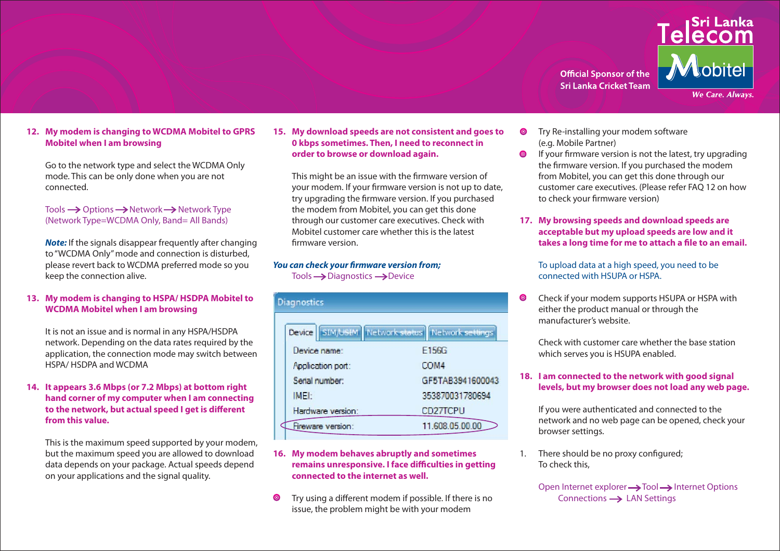**Official Sponsor of the Sri Lanka Cricket Team** 



#### **12. My modem is changing to WCDMA Mobitel to GPRS Mobitel when I am browsing**

 Go to the network type and select the WCDMA Only mode. This can be only done when you are not connected.

#### $Tools \rightarrow Options \rightarrow Network \rightarrow Network$  Tools  $\rightarrow$  Options  $\rightarrow$  Network  $Type$ (Network Type=WCDMA Only, Band= All Bands)

*Note:* If the signals disappear frequently after changing to "WCDMA Only" mode and connection is disturbed, please revert back to WCDMA preferred mode so you keep the connection alive.

#### **13. My modem is changing to HSPA/ HSDPA Mobitel to WCDMA Mobitel when I am browsing**

 It is not an issue and is normal in any HSPA/HSDPA network. Depending on the data rates required by the application, the connection mode may switch between HSPA/ HSDPA and WCDMA

#### **14. It appears 3.6 Mbps (or 7.2 Mbps) at bottom right hand corner of my computer when I am connecting to the network, but actual speed I get is different from this value.**

This is the maximum speed supported by your modem, but the maximum speed you are allowed to download data depends on your package. Actual speeds depend on your applications and the signal quality.

**15. My download speeds are not consistent and goes to 0 kbps sometimes. Then, I need to reconnect in order to browse or download again.**

This might be an issue with the firmware version of your modem. If your firmware version is not up to date, try upgrading the firmware version. If you purchased the modem from Mobitel, you can get this done through our customer care executives. Check with Mobitel customer care whether this is the latest firmware version.

#### *You can check your firmware version from;*  $Tools \rightarrow Diagonostics \rightarrow Device$

**Disannetice** 

|                   | Device SIM/USIM Network status Network settings |
|-------------------|-------------------------------------------------|
| Device name:      | E156G                                           |
| Application port: | COM4                                            |
| Serial number:    | GF5TAB3941600043                                |
| IMEI:             | 353870031780694                                 |
| Hardware version: | CD27TCPU                                        |
| Fireware version: | 11.608.05.00.00                                 |
|                   |                                                 |

### **16. My modem behaves abruptly and sometimes remains unresponsive. I face difficulties in getting connected to the internet as well.**

 Try using a different modem if possible. If there is no issue, the problem might be with your modem

- **O** Try Re-installing your modem software (e.g. Mobile Partner)
- If your firmware version is not the latest, try upgrading the firmware version. If you purchased the modem from Mobitel, you can get this done through our customer care executives. (Please refer FAQ 12 on how to check your firmware version)
- **17. My browsing speeds and download speeds are acceptable but my upload speeds are low and it takes a long time for me to attach a file to an email.**

 To upload data at a high speed, you need to be connected with HSUPA or HSPA.

**O** Check if your modem supports HSUPA or HSPA with either the product manual or through the manufacturer's website.

 Check with customer care whether the base station which serves you is HSUPA enabled.

# **18. I am connected to the network with good signal levels, but my browser does not load any web page.**

If you were authenticated and connected to the network and no web page can be opened, check your browser settings.

1. There should be no proxy configured; To check this,

> Open Internet explorer  $\rightarrow$  Tool  $\rightarrow$  Internet Options Connections  $\rightarrow$  LAN Settings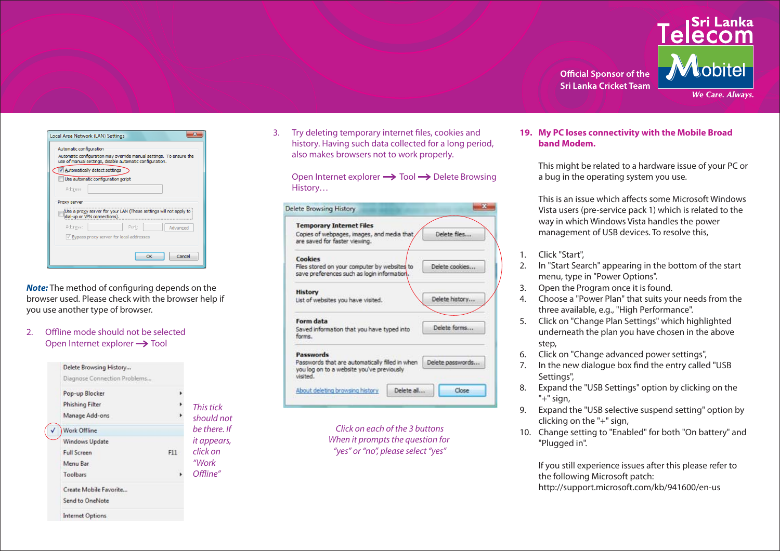

| Automatic configuration | Automatic configuration may override manual settings. To ensure the<br>use of manual settings, disable automatic configuration. |       |          |
|-------------------------|---------------------------------------------------------------------------------------------------------------------------------|-------|----------|
|                         | √ Automatically detect settings                                                                                                 |       |          |
|                         | Use automatic configuration script                                                                                              |       |          |
| Address                 |                                                                                                                                 |       |          |
| Proxy server            |                                                                                                                                 |       |          |
|                         | Use a proxy server for your LAN (These settings will not apply to<br>dial-up or VPN connections).                               |       |          |
| Address:                |                                                                                                                                 | Port: | Advanced |
|                         | V Bypass proxy server for local addresses                                                                                       |       |          |
|                         |                                                                                                                                 |       |          |

*Note:* The method of configuring depends on the browser used. Please check with the browser help if you use another type of browser.

2. Offline mode should not be selected Open Internet explorer  $\rightarrow$  Tool

| Delete Browsing History      |     |             |
|------------------------------|-----|-------------|
| Diagnose Connection Problems |     |             |
| Pop-up Blocker               |     |             |
| <b>Phishing Filter</b>       |     | This tick   |
| Manage Add-ons               |     | should not  |
| <b>Work Offline</b>          |     | he there If |
| Windows Update               |     | it appears, |
| <b>Full Screen</b>           | F11 | click on    |
| Menu Bar                     |     | "Work       |
| Toolbars                     |     | Offline"    |
| Create Mobile Favorite       |     |             |
| Send to OneNote              |     |             |
| <b>Internet Options</b>      |     |             |

3. Try deleting temporary internet files, cookies and history. Having such data collected for a long period, also makes browsers not to work properly.

Open Internet explorer  $\rightarrow$  Tool  $\rightarrow$  Delete Browsing History…

| <b>Temporary Internet Files</b>                                                                                      |                  |
|----------------------------------------------------------------------------------------------------------------------|------------------|
| Copies of webpages, images, and media that<br>are saved for faster viewing.                                          | Delete files     |
| Cookies<br>Files stored on your computer by websites to<br>save preferences such as login information.               | Delete cookies   |
| <b>History</b><br>List of websites you have visited.                                                                 | Delete history   |
| Form data<br>Saved information that you have typed into<br>forms.                                                    | Delete forms     |
| Passwords<br>Passwords that are automatically filed in when<br>you log on to a website you've previously<br>visited. | Delete passwords |
|                                                                                                                      |                  |

Click on each of the 3 buttons When it prompts the question for "yes" or "no", please select "yes"

#### **19. My PC loses connectivity with the Mobile Broad band Modem.**

 This might be related to a hardware issue of your PC or a bug in the operating system you use.

 This is an issue which affects some Microsoft Windows Vista users (pre-service pack 1) which is related to the way in which Windows Vista handles the power management of USB devices. To resolve this,

- 1. Click "Start",
- 2. In "Start Search" appearing in the bottom of the start menu, type in "Power Options".
- 3. Open the Program once it is found.
- 4. Choose a "Power Plan" that suits your needs from the three available, e.g., "High Performance".
- 5. Click on "Change Plan Settings" which highlighted underneath the plan you have chosen in the above step,
- 6. Click on "Change advanced power settings",
- 7. In the new dialogue box find the entry called "USB Settings",
- 8. Expand the "USB Settings" option by clicking on the "+" sign,
- 9. Expand the "USB selective suspend setting" option by clicking on the "+" sign,
- 10. Change setting to "Enabled" for both "On battery" and "Plugged in".

 If you still experience issues after this please refer to the following Microsoft patch: http://support.microsoft.com/kb/941600/en-us